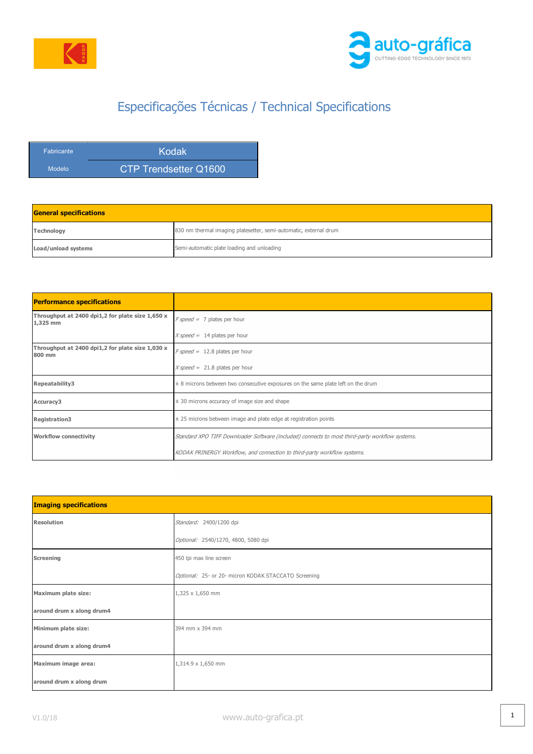



## Especificações Técnicas / Technical Specifications

| <b>Fabricante</b> | Kodak                 |
|-------------------|-----------------------|
| Modelo            | CTP Trendsetter Q1600 |

| <b>General specifications</b> |                                                                   |  |
|-------------------------------|-------------------------------------------------------------------|--|
| Technology                    | 830 nm thermal imaging platesetter, semi-automatic, external drum |  |
| Load/unload systems           | Semi-automatic plate loading and unloading                        |  |

| <b>Performance specifications</b>                            |                                                                                                 |
|--------------------------------------------------------------|-------------------------------------------------------------------------------------------------|
| Throughput at 2400 dpi1,2 for plate size 1,650 x<br>1,325 mm | $F$ speed = 7 plates per hour                                                                   |
|                                                              | $X speed = 14$ plates per hour                                                                  |
| Throughput at 2400 dpi1,2 for plate size 1,030 x<br>800 mm   | $F$ speed = 12.8 plates per hour                                                                |
|                                                              | $X speed = 21.8$ plates per hour                                                                |
| Repeatability3                                               | $\pm$ 8 microns between two consecutive exposures on the same plate left on the drum            |
| Accuracy3                                                    | $\pm$ 30 microns accuracy of image size and shape                                               |
| <b>Registration3</b>                                         | $\pm$ 25 microns between image and plate edge at registration points                            |
| <b>Workflow connectivity</b>                                 | Standard XPO TIFF Downloader Software (included) connects to most third-party workflow systems. |
|                                                              | KODAK PRINERGY Workflow, and connection to third-party workflow systems.                        |

| <b>Imaging specifications</b> |                                                      |
|-------------------------------|------------------------------------------------------|
| <b>Resolution</b>             | Standard: 2400/1200 dpi                              |
|                               | Optional: 2540/1270, 4800, 5080 dpi                  |
| Screening                     | 450 lpi max line screen                              |
|                               | Optional: 25- or 20- micron KODAK STACCATO Screening |
| Maximum plate size:           | 1,325 x 1,650 mm                                     |
| around drum x along drum4     |                                                      |
| Minimum plate size:           | 394 mm x 394 mm                                      |
| around drum x along drum4     |                                                      |
| Maximum image area:           | 1,314.9 x 1,650 mm                                   |
| around drum x along drum      |                                                      |